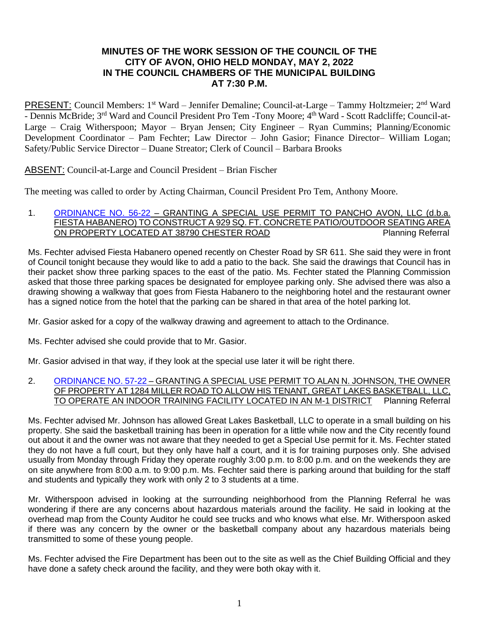## **MINUTES OF THE WORK SESSION OF THE COUNCIL OF THE CITY OF AVON, OHIO HELD MONDAY, MAY 2, 2022 IN THE COUNCIL CHAMBERS OF THE MUNICIPAL BUILDING AT 7:30 P.M.**

PRESENT: Council Members: 1<sup>st</sup> Ward – Jennifer Demaline; Council-at-Large – Tammy Holtzmeier; 2<sup>nd</sup> Ward - Dennis McBride; 3<sup>rd</sup> Ward and Council President Pro Tem -Tony Moore; 4<sup>th</sup> Ward - Scott Radcliffe; Council-at-Large – Craig Witherspoon; Mayor – Bryan Jensen; City Engineer – Ryan Cummins; Planning/Economic Development Coordinator – Pam Fechter; Law Director – John Gasior; Finance Director– William Logan; Safety/Public Service Director – Duane Streator; Clerk of Council – Barbara Brooks

ABSENT: Council-at-Large and Council President – Brian Fischer

The meeting was called to order by Acting Chairman, Council President Pro Tem, Anthony Moore.

### 1. [ORDINANCE NO. 56-22](https://www.cityofavon.com/DocumentCenter/View/7806/Ordinance-No-56-22-Fiesta-Habanero---SUP) – GRANTING A SPECIAL USE PERMIT TO PANCHO AVON, LLC (d.b.a. FIESTA HABANERO) TO CONSTRUCT A 929 SQ. FT. CONCRETE PATIO/OUTDOOR SEATING AREA ON PROPERTY LOCATED AT 38790 CHESTER ROAD Planning Referral

Ms. Fechter advised Fiesta Habanero opened recently on Chester Road by SR 611. She said they were in front of Council tonight because they would like to add a patio to the back. She said the drawings that Council has in their packet show three parking spaces to the east of the patio. Ms. Fechter stated the Planning Commission asked that those three parking spaces be designated for employee parking only. She advised there was also a drawing showing a walkway that goes from Fiesta Habanero to the neighboring hotel and the restaurant owner has a signed notice from the hotel that the parking can be shared in that area of the hotel parking lot.

Mr. Gasior asked for a copy of the walkway drawing and agreement to attach to the Ordinance.

Ms. Fechter advised she could provide that to Mr. Gasior.

Mr. Gasior advised in that way, if they look at the special use later it will be right there.

### 2. [ORDINANCE](https://www.cityofavon.com/DocumentCenter/View/7807/Ordinance-No-57-22-Great-Lakes-Basketball---SUP) NO. 57-22 – GRANTING A SPECIAL USE PERMIT TO ALAN N. JOHNSON, THE OWNER OF PROPERTY AT 1284 MILLER ROAD TO ALLOW HIS TENANT, GREAT LAKES BASKETBALL, LLC. TO OPERATE AN INDOOR TRAINING FACILITY LOCATED IN AN M-1 DISTRICT Planning Referral

Ms. Fechter advised Mr. Johnson has allowed Great Lakes Basketball, LLC to operate in a small building on his property. She said the basketball training has been in operation for a little while now and the City recently found out about it and the owner was not aware that they needed to get a Special Use permit for it. Ms. Fechter stated they do not have a full court, but they only have half a court, and it is for training purposes only. She advised usually from Monday through Friday they operate roughly 3:00 p.m. to 8:00 p.m. and on the weekends they are on site anywhere from 8:00 a.m. to 9:00 p.m. Ms. Fechter said there is parking around that building for the staff and students and typically they work with only 2 to 3 students at a time.

Mr. Witherspoon advised in looking at the surrounding neighborhood from the Planning Referral he was wondering if there are any concerns about hazardous materials around the facility. He said in looking at the overhead map from the County Auditor he could see trucks and who knows what else. Mr. Witherspoon asked if there was any concern by the owner or the basketball company about any hazardous materials being transmitted to some of these young people.

Ms. Fechter advised the Fire Department has been out to the site as well as the Chief Building Official and they have done a safety check around the facility, and they were both okay with it.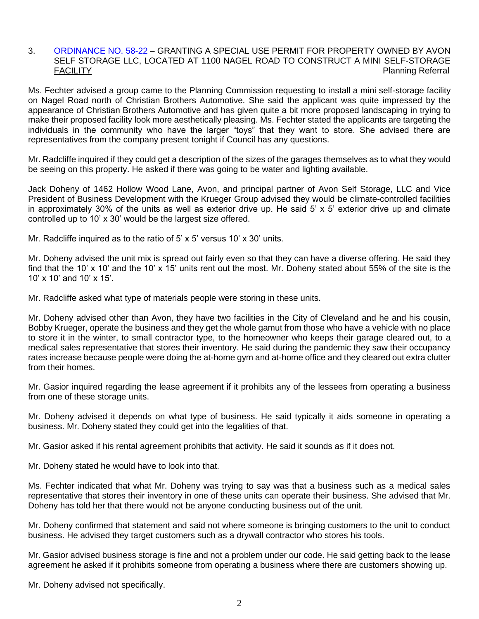#### 3. [ORDINANCE NO. 58-22](https://www.cityofavon.com/DocumentCenter/View/7808/Ordinance-No-58-22-Avon-Self-Storage---SUP-002) – GRANTING A SPECIAL USE PERMIT FOR PROPERTY OWNED BY AVON SELF STORAGE LLC, LOCATED AT 1100 NAGEL ROAD TO CONSTRUCT A MINI SELF-STORAGE<br>FACILITY Planning Referral Planning Referral

Ms. Fechter advised a group came to the Planning Commission requesting to install a mini self-storage facility on Nagel Road north of Christian Brothers Automotive. She said the applicant was quite impressed by the appearance of Christian Brothers Automotive and has given quite a bit more proposed landscaping in trying to make their proposed facility look more aesthetically pleasing. Ms. Fechter stated the applicants are targeting the individuals in the community who have the larger "toys" that they want to store. She advised there are representatives from the company present tonight if Council has any questions.

Mr. Radcliffe inquired if they could get a description of the sizes of the garages themselves as to what they would be seeing on this property. He asked if there was going to be water and lighting available.

Jack Doheny of 1462 Hollow Wood Lane, Avon, and principal partner of Avon Self Storage, LLC and Vice President of Business Development with the Krueger Group advised they would be climate-controlled facilities in approximately 30% of the units as well as exterior drive up. He said 5' x 5' exterior drive up and climate controlled up to 10' x 30' would be the largest size offered.

Mr. Radcliffe inquired as to the ratio of 5' x 5' versus 10' x 30' units.

Mr. Doheny advised the unit mix is spread out fairly even so that they can have a diverse offering. He said they find that the 10' x 10' and the 10' x 15' units rent out the most. Mr. Doheny stated about 55% of the site is the 10' x 10' and 10' x 15'.

Mr. Radcliffe asked what type of materials people were storing in these units.

Mr. Doheny advised other than Avon, they have two facilities in the City of Cleveland and he and his cousin, Bobby Krueger, operate the business and they get the whole gamut from those who have a vehicle with no place to store it in the winter, to small contractor type, to the homeowner who keeps their garage cleared out, to a medical sales representative that stores their inventory. He said during the pandemic they saw their occupancy rates increase because people were doing the at-home gym and at-home office and they cleared out extra clutter from their homes.

Mr. Gasior inquired regarding the lease agreement if it prohibits any of the lessees from operating a business from one of these storage units.

Mr. Doheny advised it depends on what type of business. He said typically it aids someone in operating a business. Mr. Doheny stated they could get into the legalities of that.

Mr. Gasior asked if his rental agreement prohibits that activity. He said it sounds as if it does not.

Mr. Doheny stated he would have to look into that.

Ms. Fechter indicated that what Mr. Doheny was trying to say was that a business such as a medical sales representative that stores their inventory in one of these units can operate their business. She advised that Mr. Doheny has told her that there would not be anyone conducting business out of the unit.

Mr. Doheny confirmed that statement and said not where someone is bringing customers to the unit to conduct business. He advised they target customers such as a drywall contractor who stores his tools.

Mr. Gasior advised business storage is fine and not a problem under our code. He said getting back to the lease agreement he asked if it prohibits someone from operating a business where there are customers showing up.

Mr. Doheny advised not specifically.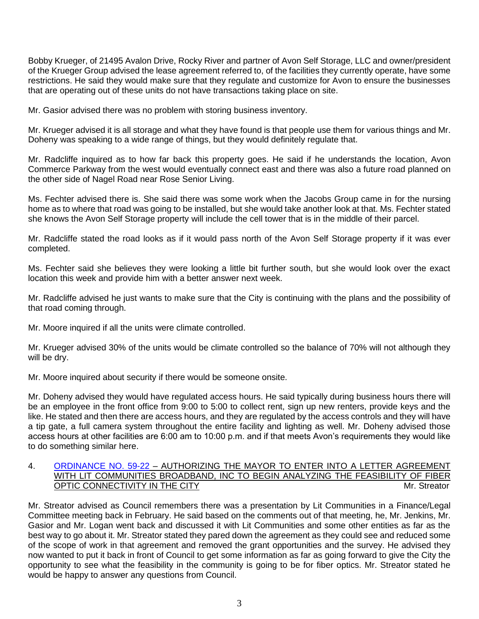Bobby Krueger, of 21495 Avalon Drive, Rocky River and partner of Avon Self Storage, LLC and owner/president of the Krueger Group advised the lease agreement referred to, of the facilities they currently operate, have some restrictions. He said they would make sure that they regulate and customize for Avon to ensure the businesses that are operating out of these units do not have transactions taking place on site.

Mr. Gasior advised there was no problem with storing business inventory.

Mr. Krueger advised it is all storage and what they have found is that people use them for various things and Mr. Doheny was speaking to a wide range of things, but they would definitely regulate that.

Mr. Radcliffe inquired as to how far back this property goes. He said if he understands the location, Avon Commerce Parkway from the west would eventually connect east and there was also a future road planned on the other side of Nagel Road near Rose Senior Living.

Ms. Fechter advised there is. She said there was some work when the Jacobs Group came in for the nursing home as to where that road was going to be installed, but she would take another look at that. Ms. Fechter stated she knows the Avon Self Storage property will include the cell tower that is in the middle of their parcel.

Mr. Radcliffe stated the road looks as if it would pass north of the Avon Self Storage property if it was ever completed.

Ms. Fechter said she believes they were looking a little bit further south, but she would look over the exact location this week and provide him with a better answer next week.

Mr. Radcliffe advised he just wants to make sure that the City is continuing with the plans and the possibility of that road coming through.

Mr. Moore inquired if all the units were climate controlled.

Mr. Krueger advised 30% of the units would be climate controlled so the balance of 70% will not although they will be dry.

Mr. Moore inquired about security if there would be someone onsite.

Mr. Doheny advised they would have regulated access hours. He said typically during business hours there will be an employee in the front office from 9:00 to 5:00 to collect rent, sign up new renters, provide keys and the like. He stated and then there are access hours, and they are regulated by the access controls and they will have a tip gate, a full camera system throughout the entire facility and lighting as well. Mr. Doheny advised those access hours at other facilities are 6:00 am to 10:00 p.m. and if that meets Avon's requirements they would like to do something similar here.

### 4. [ORDINANCE NO. 59-22](https://www.cityofavon.com/DocumentCenter/View/7809/Ordinance-No-59-22-Lit-Communities) – AUTHORIZING THE MAYOR TO ENTER INTO A LETTER AGREEMENT WITH LIT COMMUNITIES BROADBAND, INC TO BEGIN ANALYZING THE FEASIBILITY OF FIBER OPTIC CONNECTIVITY IN THE CITY **MR** CONNECTIVITY IN THE CITY

Mr. Streator advised as Council remembers there was a presentation by Lit Communities in a Finance/Legal Committee meeting back in February. He said based on the comments out of that meeting, he, Mr. Jenkins, Mr. Gasior and Mr. Logan went back and discussed it with Lit Communities and some other entities as far as the best way to go about it. Mr. Streator stated they pared down the agreement as they could see and reduced some of the scope of work in that agreement and removed the grant opportunities and the survey. He advised they now wanted to put it back in front of Council to get some information as far as going forward to give the City the opportunity to see what the feasibility in the community is going to be for fiber optics. Mr. Streator stated he would be happy to answer any questions from Council.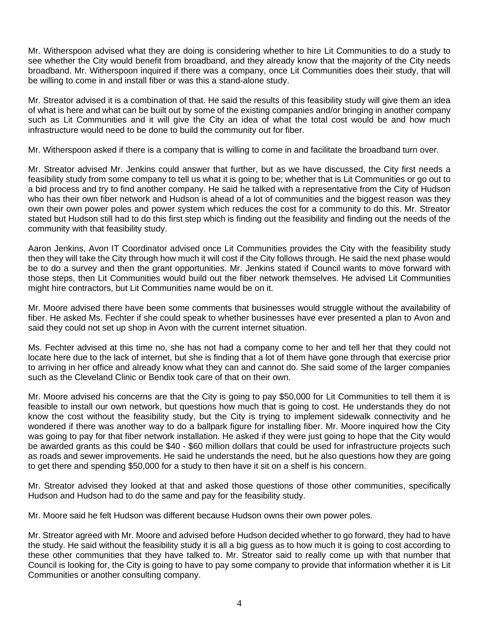Mr. Witherspoon advised what they are doing is considering whether to hire Lit Communities to do a study to see whether the City would benefit from broadband, and they already know that the majority of the City needs broadband. Mr. Witherspoon inquired if there was a company, once Lit Communities does their study, that will be willing to come in and install fiber or was this a stand-alone study.

Mr. Streator advised it is a combination of that. He said the results of this feasibility study will give them an idea of what is here and what can be built out by some of the existing companies and/or bringing in another company such as Lit Communities and it will give the City an idea of what the total cost would be and how much infrastructure would need to be done to build the community out for fiber.

Mr. Witherspoon asked if there is a company that is willing to come in and facilitate the broadband turn over.

Mr. Streator advised Mr. Jenkins could answer that further, but as we have discussed, the City first needs a feasibility study from some company to tell us what it is going to be; whether that is Lit Communities or go out to a bid process and try to find another company. He said he talked with a representative from the City of Hudson who has their own fiber network and Hudson is ahead of a lot of communities and the biggest reason was they own their own power poles and power system which reduces the cost for a community to do this. Mr. Streator stated but Hudson still had to do this first step which is finding out the feasibility and finding out the needs of the community with that feasibility study.

Aaron Jenkins, Avon IT Coordinator advised once Lit Communities provides the City with the feasibility study then they will take the City through how much it will cost if the City follows through. He said the next phase would be to do a survey and then the grant opportunities. Mr. Jenkins stated if Council wants to move forward with those steps, then Lit Communities would build out the fiber network themselves. He advised Lit Communities might hire contractors, but Lit Communities name would be on it.

Mr. Moore advised there have been some comments that businesses would struggle without the availability of fiber. He asked Ms. Fechter if she could speak to whether businesses have ever presented a plan to Avon and said they could not set up shop in Avon with the current internet situation.

Ms. Fechter advised at this time no, she has not had a company come to her and tell her that they could not locate here due to the lack of internet, but she is finding that a lot of them have gone through that exercise prior to arriving in her office and already know what they can and cannot do. She said some of the larger companies such as the Cleveland Clinic or Bendix took care of that on their own.

Mr. Moore advised his concerns are that the City is going to pay \$50,000 for Lit Communities to tell them it is feasible to install our own network, but questions how much that is going to cost. He understands they do not know the cost without the feasibility study, but the City is trying to implement sidewalk connectivity and he wondered if there was another way to do a ballpark figure for installing fiber. Mr. Moore inquired how the City was going to pay for that fiber network installation. He asked if they were just going to hope that the City would be awarded grants as this could be \$40 - \$60 million dollars that could be used for infrastructure projects such as roads and sewer improvements. He said he understands the need, but he also questions how they are going to get there and spending \$50,000 for a study to then have it sit on a shelf is his concern.

Mr. Streator advised they looked at that and asked those questions of those other communities, specifically Hudson and Hudson had to do the same and pay for the feasibility study.

Mr. Moore said he felt Hudson was different because Hudson owns their own power poles.

Mr. Streator agreed with Mr. Moore and advised before Hudson decided whether to go forward, they had to have the study. He said without the feasibility study it is all a big guess as to how much it is going to cost according to these other communities that they have talked to. Mr. Streator said to really come up with that number that Council is looking for, the City is going to have to pay some company to provide that information whether it is Lit Communities or another consulting company.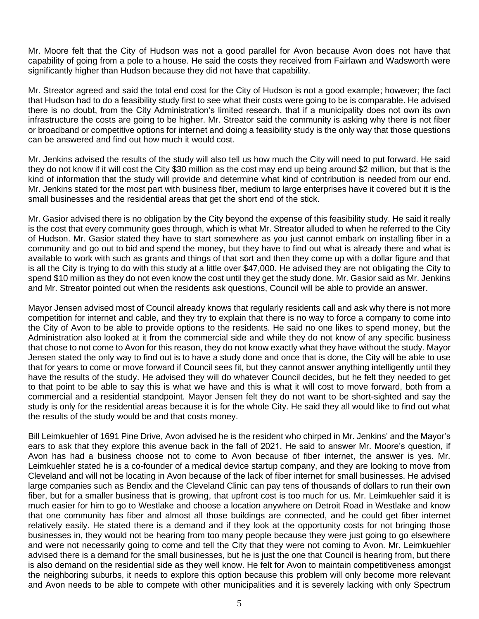Mr. Moore felt that the City of Hudson was not a good parallel for Avon because Avon does not have that capability of going from a pole to a house. He said the costs they received from Fairlawn and Wadsworth were significantly higher than Hudson because they did not have that capability.

Mr. Streator agreed and said the total end cost for the City of Hudson is not a good example; however; the fact that Hudson had to do a feasibility study first to see what their costs were going to be is comparable. He advised there is no doubt, from the City Administration's limited research, that if a municipality does not own its own infrastructure the costs are going to be higher. Mr. Streator said the community is asking why there is not fiber or broadband or competitive options for internet and doing a feasibility study is the only way that those questions can be answered and find out how much it would cost.

Mr. Jenkins advised the results of the study will also tell us how much the City will need to put forward. He said they do not know if it will cost the City \$30 million as the cost may end up being around \$2 million, but that is the kind of information that the study will provide and determine what kind of contribution is needed from our end. Mr. Jenkins stated for the most part with business fiber, medium to large enterprises have it covered but it is the small businesses and the residential areas that get the short end of the stick.

Mr. Gasior advised there is no obligation by the City beyond the expense of this feasibility study. He said it really is the cost that every community goes through, which is what Mr. Streator alluded to when he referred to the City of Hudson. Mr. Gasior stated they have to start somewhere as you just cannot embark on installing fiber in a community and go out to bid and spend the money, but they have to find out what is already there and what is available to work with such as grants and things of that sort and then they come up with a dollar figure and that is all the City is trying to do with this study at a little over \$47,000. He advised they are not obligating the City to spend \$10 million as they do not even know the cost until they get the study done. Mr. Gasior said as Mr. Jenkins and Mr. Streator pointed out when the residents ask questions, Council will be able to provide an answer.

Mayor Jensen advised most of Council already knows that regularly residents call and ask why there is not more competition for internet and cable, and they try to explain that there is no way to force a company to come into the City of Avon to be able to provide options to the residents. He said no one likes to spend money, but the Administration also looked at it from the commercial side and while they do not know of any specific business that chose to not come to Avon for this reason, they do not know exactly what they have without the study. Mayor Jensen stated the only way to find out is to have a study done and once that is done, the City will be able to use that for years to come or move forward if Council sees fit, but they cannot answer anything intelligently until they have the results of the study. He advised they will do whatever Council decides, but he felt they needed to get to that point to be able to say this is what we have and this is what it will cost to move forward, both from a commercial and a residential standpoint. Mayor Jensen felt they do not want to be short-sighted and say the study is only for the residential areas because it is for the whole City. He said they all would like to find out what the results of the study would be and that costs money.

Bill Leimkuehler of 1691 Pine Drive, Avon advised he is the resident who chirped in Mr. Jenkins' and the Mayor's ears to ask that they explore this avenue back in the fall of 2021. He said to answer Mr. Moore's question, if Avon has had a business choose not to come to Avon because of fiber internet, the answer is yes. Mr. Leimkuehler stated he is a co-founder of a medical device startup company, and they are looking to move from Cleveland and will not be locating in Avon because of the lack of fiber internet for small businesses. He advised large companies such as Bendix and the Cleveland Clinic can pay tens of thousands of dollars to run their own fiber, but for a smaller business that is growing, that upfront cost is too much for us. Mr. Leimkuehler said it is much easier for him to go to Westlake and choose a location anywhere on Detroit Road in Westlake and know that one community has fiber and almost all those buildings are connected, and he could get fiber internet relatively easily. He stated there is a demand and if they look at the opportunity costs for not bringing those businesses in, they would not be hearing from too many people because they were just going to go elsewhere and were not necessarily going to come and tell the City that they were not coming to Avon. Mr. Leimkuehler advised there is a demand for the small businesses, but he is just the one that Council is hearing from, but there is also demand on the residential side as they well know. He felt for Avon to maintain competitiveness amongst the neighboring suburbs, it needs to explore this option because this problem will only become more relevant and Avon needs to be able to compete with other municipalities and it is severely lacking with only Spectrum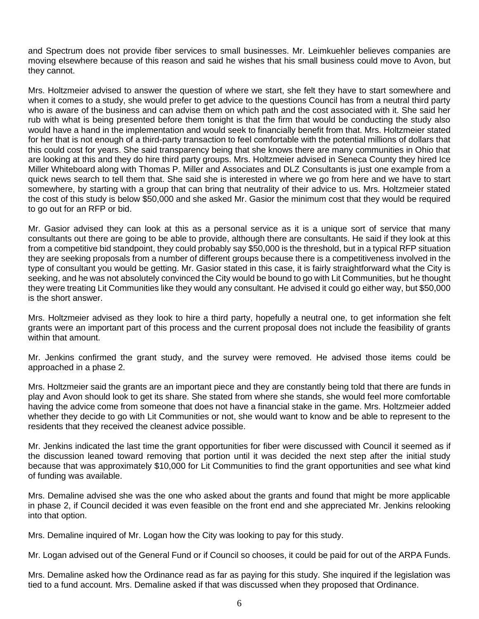and Spectrum does not provide fiber services to small businesses. Mr. Leimkuehler believes companies are moving elsewhere because of this reason and said he wishes that his small business could move to Avon, but they cannot.

Mrs. Holtzmeier advised to answer the question of where we start, she felt they have to start somewhere and when it comes to a study, she would prefer to get advice to the questions Council has from a neutral third party who is aware of the business and can advise them on which path and the cost associated with it. She said her rub with what is being presented before them tonight is that the firm that would be conducting the study also would have a hand in the implementation and would seek to financially benefit from that. Mrs. Holtzmeier stated for her that is not enough of a third-party transaction to feel comfortable with the potential millions of dollars that this could cost for years. She said transparency being that she knows there are many communities in Ohio that are looking at this and they do hire third party groups. Mrs. Holtzmeier advised in Seneca County they hired Ice Miller Whiteboard along with Thomas P. Miller and Associates and DLZ Consultants is just one example from a quick news search to tell them that. She said she is interested in where we go from here and we have to start somewhere, by starting with a group that can bring that neutrality of their advice to us. Mrs. Holtzmeier stated the cost of this study is below \$50,000 and she asked Mr. Gasior the minimum cost that they would be required to go out for an RFP or bid.

Mr. Gasior advised they can look at this as a personal service as it is a unique sort of service that many consultants out there are going to be able to provide, although there are consultants. He said if they look at this from a competitive bid standpoint, they could probably say \$50,000 is the threshold, but in a typical RFP situation they are seeking proposals from a number of different groups because there is a competitiveness involved in the type of consultant you would be getting. Mr. Gasior stated in this case, it is fairly straightforward what the City is seeking, and he was not absolutely convinced the City would be bound to go with Lit Communities, but he thought they were treating Lit Communities like they would any consultant. He advised it could go either way, but \$50,000 is the short answer.

Mrs. Holtzmeier advised as they look to hire a third party, hopefully a neutral one, to get information she felt grants were an important part of this process and the current proposal does not include the feasibility of grants within that amount.

Mr. Jenkins confirmed the grant study, and the survey were removed. He advised those items could be approached in a phase 2.

Mrs. Holtzmeier said the grants are an important piece and they are constantly being told that there are funds in play and Avon should look to get its share. She stated from where she stands, she would feel more comfortable having the advice come from someone that does not have a financial stake in the game. Mrs. Holtzmeier added whether they decide to go with Lit Communities or not, she would want to know and be able to represent to the residents that they received the cleanest advice possible.

Mr. Jenkins indicated the last time the grant opportunities for fiber were discussed with Council it seemed as if the discussion leaned toward removing that portion until it was decided the next step after the initial study because that was approximately \$10,000 for Lit Communities to find the grant opportunities and see what kind of funding was available.

Mrs. Demaline advised she was the one who asked about the grants and found that might be more applicable in phase 2, if Council decided it was even feasible on the front end and she appreciated Mr. Jenkins relooking into that option.

Mrs. Demaline inquired of Mr. Logan how the City was looking to pay for this study.

Mr. Logan advised out of the General Fund or if Council so chooses, it could be paid for out of the ARPA Funds.

Mrs. Demaline asked how the Ordinance read as far as paying for this study. She inquired if the legislation was tied to a fund account. Mrs. Demaline asked if that was discussed when they proposed that Ordinance.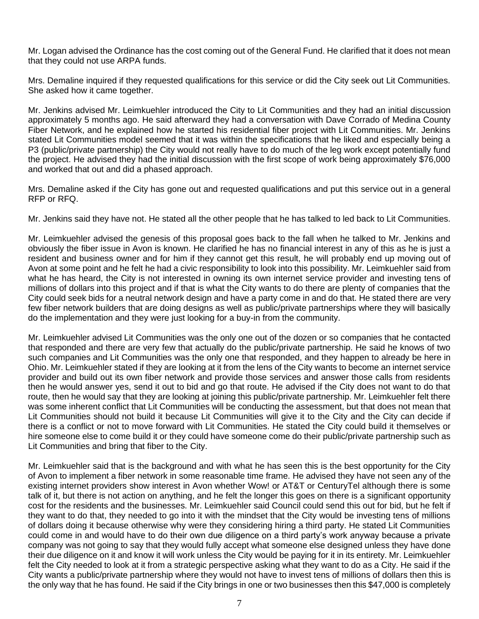Mr. Logan advised the Ordinance has the cost coming out of the General Fund. He clarified that it does not mean that they could not use ARPA funds.

Mrs. Demaline inquired if they requested qualifications for this service or did the City seek out Lit Communities. She asked how it came together.

Mr. Jenkins advised Mr. Leimkuehler introduced the City to Lit Communities and they had an initial discussion approximately 5 months ago. He said afterward they had a conversation with Dave Corrado of Medina County Fiber Network, and he explained how he started his residential fiber project with Lit Communities. Mr. Jenkins stated Lit Communities model seemed that it was within the specifications that he liked and especially being a P3 (public/private partnership) the City would not really have to do much of the leg work except potentially fund the project. He advised they had the initial discussion with the first scope of work being approximately \$76,000 and worked that out and did a phased approach.

Mrs. Demaline asked if the City has gone out and requested qualifications and put this service out in a general RFP or RFQ.

Mr. Jenkins said they have not. He stated all the other people that he has talked to led back to Lit Communities.

Mr. Leimkuehler advised the genesis of this proposal goes back to the fall when he talked to Mr. Jenkins and obviously the fiber issue in Avon is known. He clarified he has no financial interest in any of this as he is just a resident and business owner and for him if they cannot get this result, he will probably end up moving out of Avon at some point and he felt he had a civic responsibility to look into this possibility. Mr. Leimkuehler said from what he has heard, the City is not interested in owning its own internet service provider and investing tens of millions of dollars into this project and if that is what the City wants to do there are plenty of companies that the City could seek bids for a neutral network design and have a party come in and do that. He stated there are very few fiber network builders that are doing designs as well as public/private partnerships where they will basically do the implementation and they were just looking for a buy-in from the community.

Mr. Leimkuehler advised Lit Communities was the only one out of the dozen or so companies that he contacted that responded and there are very few that actually do the public/private partnership. He said he knows of two such companies and Lit Communities was the only one that responded, and they happen to already be here in Ohio. Mr. Leimkuehler stated if they are looking at it from the lens of the City wants to become an internet service provider and build out its own fiber network and provide those services and answer those calls from residents then he would answer yes, send it out to bid and go that route. He advised if the City does not want to do that route, then he would say that they are looking at joining this public/private partnership. Mr. Leimkuehler felt there was some inherent conflict that Lit Communities will be conducting the assessment, but that does not mean that Lit Communities should not build it because Lit Communities will give it to the City and the City can decide if there is a conflict or not to move forward with Lit Communities. He stated the City could build it themselves or hire someone else to come build it or they could have someone come do their public/private partnership such as Lit Communities and bring that fiber to the City.

Mr. Leimkuehler said that is the background and with what he has seen this is the best opportunity for the City of Avon to implement a fiber network in some reasonable time frame. He advised they have not seen any of the existing internet providers show interest in Avon whether Wow! or AT&T or CenturyTel although there is some talk of it, but there is not action on anything, and he felt the longer this goes on there is a significant opportunity cost for the residents and the businesses. Mr. Leimkuehler said Council could send this out for bid, but he felt if they want to do that, they needed to go into it with the mindset that the City would be investing tens of millions of dollars doing it because otherwise why were they considering hiring a third party. He stated Lit Communities could come in and would have to do their own due diligence on a third party's work anyway because a private company was not going to say that they would fully accept what someone else designed unless they have done their due diligence on it and know it will work unless the City would be paying for it in its entirety. Mr. Leimkuehler felt the City needed to look at it from a strategic perspective asking what they want to do as a City. He said if the City wants a public/private partnership where they would not have to invest tens of millions of dollars then this is the only way that he has found. He said if the City brings in one or two businesses then this \$47,000 is completely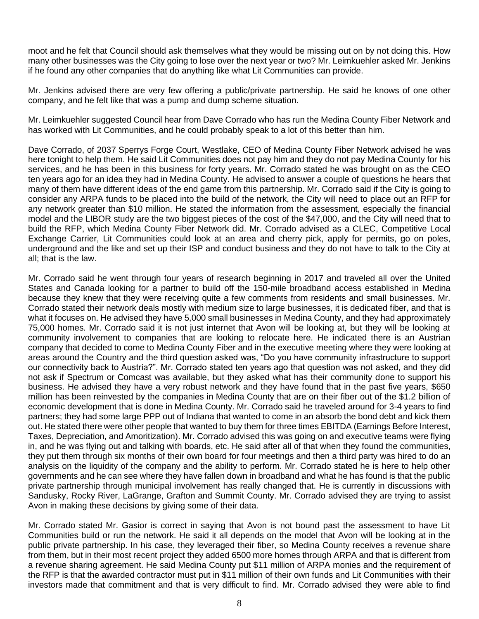moot and he felt that Council should ask themselves what they would be missing out on by not doing this. How many other businesses was the City going to lose over the next year or two? Mr. Leimkuehler asked Mr. Jenkins if he found any other companies that do anything like what Lit Communities can provide.

Mr. Jenkins advised there are very few offering a public/private partnership. He said he knows of one other company, and he felt like that was a pump and dump scheme situation.

Mr. Leimkuehler suggested Council hear from Dave Corrado who has run the Medina County Fiber Network and has worked with Lit Communities, and he could probably speak to a lot of this better than him.

Dave Corrado, of 2037 Sperrys Forge Court, Westlake, CEO of Medina County Fiber Network advised he was here tonight to help them. He said Lit Communities does not pay him and they do not pay Medina County for his services, and he has been in this business for forty years. Mr. Corrado stated he was brought on as the CEO ten years ago for an idea they had in Medina County. He advised to answer a couple of questions he hears that many of them have different ideas of the end game from this partnership. Mr. Corrado said if the City is going to consider any ARPA funds to be placed into the build of the network, the City will need to place out an RFP for any network greater than \$10 million. He stated the information from the assessment, especially the financial model and the LIBOR study are the two biggest pieces of the cost of the \$47,000, and the City will need that to build the RFP, which Medina County Fiber Network did. Mr. Corrado advised as a CLEC, Competitive Local Exchange Carrier, Lit Communities could look at an area and cherry pick, apply for permits, go on poles, underground and the like and set up their ISP and conduct business and they do not have to talk to the City at all; that is the law.

Mr. Corrado said he went through four years of research beginning in 2017 and traveled all over the United States and Canada looking for a partner to build off the 150-mile broadband access established in Medina because they knew that they were receiving quite a few comments from residents and small businesses. Mr. Corrado stated their network deals mostly with medium size to large businesses, it is dedicated fiber, and that is what it focuses on. He advised they have 5,000 small businesses in Medina County, and they had approximately 75,000 homes. Mr. Corrado said it is not just internet that Avon will be looking at, but they will be looking at community involvement to companies that are looking to relocate here. He indicated there is an Austrian company that decided to come to Medina County Fiber and in the executive meeting where they were looking at areas around the Country and the third question asked was, "Do you have community infrastructure to support our connectivity back to Austria?". Mr. Corrado stated ten years ago that question was not asked, and they did not ask if Spectrum or Comcast was available, but they asked what has their community done to support his business. He advised they have a very robust network and they have found that in the past five years, \$650 million has been reinvested by the companies in Medina County that are on their fiber out of the \$1.2 billion of economic development that is done in Medina County. Mr. Corrado said he traveled around for 3-4 years to find partners; they had some large PPP out of Indiana that wanted to come in an absorb the bond debt and kick them out. He stated there were other people that wanted to buy them for three times EBITDA (Earnings Before Interest, Taxes, Depreciation, and Amoritization). Mr. Corrado advised this was going on and executive teams were flying in, and he was flying out and talking with boards, etc. He said after all of that when they found the communities, they put them through six months of their own board for four meetings and then a third party was hired to do an analysis on the liquidity of the company and the ability to perform. Mr. Corrado stated he is here to help other governments and he can see where they have fallen down in broadband and what he has found is that the public private partnership through municipal involvement has really changed that. He is currently in discussions with Sandusky, Rocky River, LaGrange, Grafton and Summit County. Mr. Corrado advised they are trying to assist Avon in making these decisions by giving some of their data.

Mr. Corrado stated Mr. Gasior is correct in saying that Avon is not bound past the assessment to have Lit Communities build or run the network. He said it all depends on the model that Avon will be looking at in the public private partnership. In his case, they leveraged their fiber, so Medina County receives a revenue share from them, but in their most recent project they added 6500 more homes through ARPA and that is different from a revenue sharing agreement. He said Medina County put \$11 million of ARPA monies and the requirement of the RFP is that the awarded contractor must put in \$11 million of their own funds and Lit Communities with their investors made that commitment and that is very difficult to find. Mr. Corrado advised they were able to find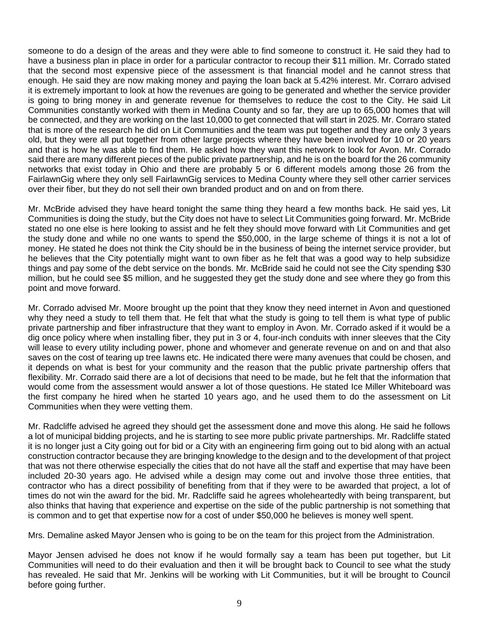someone to do a design of the areas and they were able to find someone to construct it. He said they had to have a business plan in place in order for a particular contractor to recoup their \$11 million. Mr. Corrado stated that the second most expensive piece of the assessment is that financial model and he cannot stress that enough. He said they are now making money and paying the loan back at 5.42% interest. Mr. Corraro advised it is extremely important to look at how the revenues are going to be generated and whether the service provider is going to bring money in and generate revenue for themselves to reduce the cost to the City. He said Lit Communities constantly worked with them in Medina County and so far, they are up to 65,000 homes that will be connected, and they are working on the last 10,000 to get connected that will start in 2025. Mr. Corraro stated that is more of the research he did on Lit Communities and the team was put together and they are only 3 years old, but they were all put together from other large projects where they have been involved for 10 or 20 years and that is how he was able to find them. He asked how they want this network to look for Avon. Mr. Corrado said there are many different pieces of the public private partnership, and he is on the board for the 26 community networks that exist today in Ohio and there are probably 5 or 6 different models among those 26 from the FairlawnGig where they only sell FairlawnGig services to Medina County where they sell other carrier services over their fiber, but they do not sell their own branded product and on and on from there.

Mr. McBride advised they have heard tonight the same thing they heard a few months back. He said yes, Lit Communities is doing the study, but the City does not have to select Lit Communities going forward. Mr. McBride stated no one else is here looking to assist and he felt they should move forward with Lit Communities and get the study done and while no one wants to spend the \$50,000, in the large scheme of things it is not a lot of money. He stated he does not think the City should be in the business of being the internet service provider, but he believes that the City potentially might want to own fiber as he felt that was a good way to help subsidize things and pay some of the debt service on the bonds. Mr. McBride said he could not see the City spending \$30 million, but he could see \$5 million, and he suggested they get the study done and see where they go from this point and move forward.

Mr. Corrado advised Mr. Moore brought up the point that they know they need internet in Avon and questioned why they need a study to tell them that. He felt that what the study is going to tell them is what type of public private partnership and fiber infrastructure that they want to employ in Avon. Mr. Corrado asked if it would be a dig once policy where when installing fiber, they put in 3 or 4, four-inch conduits with inner sleeves that the City will lease to every utility including power, phone and whomever and generate revenue on and on and that also saves on the cost of tearing up tree lawns etc. He indicated there were many avenues that could be chosen, and it depends on what is best for your community and the reason that the public private partnership offers that flexibility. Mr. Corrado said there are a lot of decisions that need to be made, but he felt that the information that would come from the assessment would answer a lot of those questions. He stated Ice Miller Whiteboard was the first company he hired when he started 10 years ago, and he used them to do the assessment on Lit Communities when they were vetting them.

Mr. Radcliffe advised he agreed they should get the assessment done and move this along. He said he follows a lot of municipal bidding projects, and he is starting to see more public private partnerships. Mr. Radcliffe stated it is no longer just a City going out for bid or a City with an engineering firm going out to bid along with an actual construction contractor because they are bringing knowledge to the design and to the development of that project that was not there otherwise especially the cities that do not have all the staff and expertise that may have been included 20-30 years ago. He advised while a design may come out and involve those three entities, that contractor who has a direct possibility of benefiting from that if they were to be awarded that project, a lot of times do not win the award for the bid. Mr. Radcliffe said he agrees wholeheartedly with being transparent, but also thinks that having that experience and expertise on the side of the public partnership is not something that is common and to get that expertise now for a cost of under \$50,000 he believes is money well spent.

Mrs. Demaline asked Mayor Jensen who is going to be on the team for this project from the Administration.

Mayor Jensen advised he does not know if he would formally say a team has been put together, but Lit Communities will need to do their evaluation and then it will be brought back to Council to see what the study has revealed. He said that Mr. Jenkins will be working with Lit Communities, but it will be brought to Council before going further.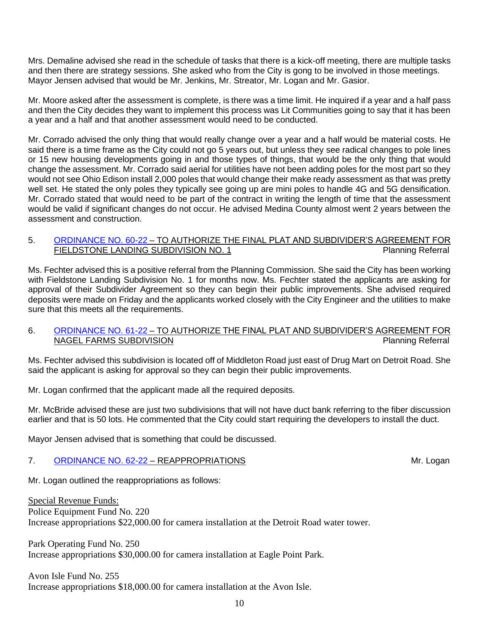Mrs. Demaline advised she read in the schedule of tasks that there is a kick-off meeting, there are multiple tasks and then there are strategy sessions. She asked who from the City is gong to be involved in those meetings. Mayor Jensen advised that would be Mr. Jenkins, Mr. Streator, Mr. Logan and Mr. Gasior.

Mr. Moore asked after the assessment is complete, is there was a time limit. He inquired if a year and a half pass and then the City decides they want to implement this process was Lit Communities going to say that it has been a year and a half and that another assessment would need to be conducted.

Mr. Corrado advised the only thing that would really change over a year and a half would be material costs. He said there is a time frame as the City could not go 5 years out, but unless they see radical changes to pole lines or 15 new housing developments going in and those types of things, that would be the only thing that would change the assessment. Mr. Corrado said aerial for utilities have not been adding poles for the most part so they would not see Ohio Edison install 2,000 poles that would change their make ready assessment as that was pretty well set. He stated the only poles they typically see going up are mini poles to handle 4G and 5G densification. Mr. Corrado stated that would need to be part of the contract in writing the length of time that the assessment would be valid if significant changes do not occur. He advised Medina County almost went 2 years between the assessment and construction.

### 5. [ORDINANCE NO. 60-22](https://www.cityofavon.com/DocumentCenter/View/7810/Ordinance-No-60-22-Fieldstone-Auth-SDA--PB) – TO AUTHORIZE THE FINAL PLAT AND SUBDIVIDER'S AGREEMENT FOR FIELDSTONE LANDING SUBDIVISION NO. 1 Planning Referral

Ms. Fechter advised this is a positive referral from the Planning Commission. She said the City has been working with Fieldstone Landing Subdivision No. 1 for months now. Ms. Fechter stated the applicants are asking for approval of their Subdivider Agreement so they can begin their public improvements. She advised required deposits were made on Friday and the applicants worked closely with the City Engineer and the utilities to make sure that this meets all the requirements.

### 6. [ORDINANCE NO. 61-22](https://www.cityofavon.com/DocumentCenter/View/7811/Ordinance-No-61-22-Nagel-Farms--Auth-SDA--PB) - TO AUTHORIZE THE FINAL PLAT AND SUBDIVIDER'S AGREEMENT FOR NAGEL FARMS SUBDIVISION **Planning Referral**

Ms. Fechter advised this subdivision is located off of Middleton Road just east of Drug Mart on Detroit Road. She said the applicant is asking for approval so they can begin their public improvements.

Mr. Logan confirmed that the applicant made all the required deposits.

Mr. McBride advised these are just two subdivisions that will not have duct bank referring to the fiber discussion earlier and that is 50 lots. He commented that the City could start requiring the developers to install the duct.

Mayor Jensen advised that is something that could be discussed.

## 7. [ORDINANCE NO. 62-22](https://www.cityofavon.com/DocumentCenter/View/7795/Ordinance-No-62-22---Reappropriations) – REAPPROPRIATIONS And the state of the state of the Mr. Logan

Mr. Logan outlined the reappropriations as follows:

Special Revenue Funds: Police Equipment Fund No. 220 Increase appropriations \$22,000.00 for camera installation at the Detroit Road water tower.

Park Operating Fund No. 250 Increase appropriations \$30,000.00 for camera installation at Eagle Point Park.

Avon Isle Fund No. 255 Increase appropriations \$18,000.00 for camera installation at the Avon Isle.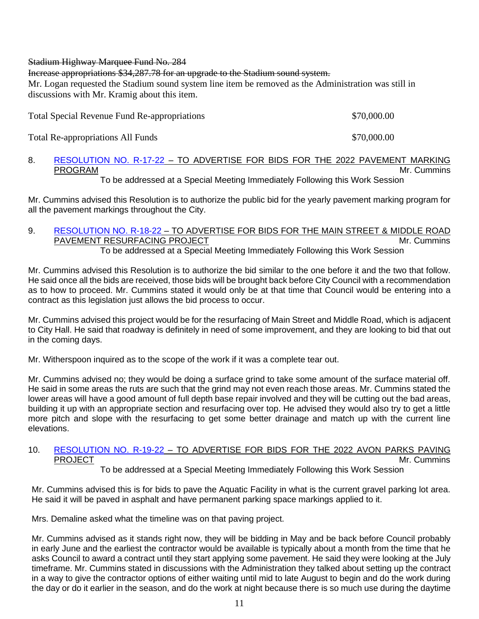### Stadium Highway Marquee Fund No. 284

Increase appropriations \$34,287.78 for an upgrade to the Stadium sound system.

Mr. Logan requested the Stadium sound system line item be removed as the Administration was still in discussions with Mr. Kramig about this item.

| <b>Total Special Revenue Fund Re-appropriations</b> | \$70,000.00 |
|-----------------------------------------------------|-------------|
| <b>Total Re-appropriations All Funds</b>            | \$70,000.00 |

# 8. [RESOLUTION NO. R-17-22](https://www.cityofavon.com/DocumentCenter/View/7786/Resolution-No-R-17-22-Pavement-Marking-Prog-Bid-2022) - TO ADVERTISE FOR BIDS FOR THE 2022 PAVEMENT MARKING PROGRAM Mr. Cummins

To be addressed at a Special Meeting Immediately Following this Work Session

Mr. Cummins advised this Resolution is to authorize the public bid for the yearly pavement marking program for all the pavement markings throughout the City.

# 9. [RESOLUTION NO. R-18-22](https://www.cityofavon.com/DocumentCenter/View/7787/Resolution-No-R-18-22-Main-St-Middle-Road-Resurfacing-Bid) – TO ADVERTISE FOR BIDS FOR THE MAIN STREET & MIDDLE ROAD PAVEMENT RESURFACING PROJECT **And Account of the Cummins** Mr. Cummins

To be addressed at a Special Meeting Immediately Following this Work Session

Mr. Cummins advised this Resolution is to authorize the bid similar to the one before it and the two that follow. He said once all the bids are received, those bids will be brought back before City Council with a recommendation as to how to proceed. Mr. Cummins stated it would only be at that time that Council would be entering into a contract as this legislation just allows the bid process to occur.

Mr. Cummins advised this project would be for the resurfacing of Main Street and Middle Road, which is adjacent to City Hall. He said that roadway is definitely in need of some improvement, and they are looking to bid that out in the coming days.

Mr. Witherspoon inquired as to the scope of the work if it was a complete tear out.

Mr. Cummins advised no; they would be doing a surface grind to take some amount of the surface material off. He said in some areas the ruts are such that the grind may not even reach those areas. Mr. Cummins stated the lower areas will have a good amount of full depth base repair involved and they will be cutting out the bad areas, building it up with an appropriate section and resurfacing over top. He advised they would also try to get a little more pitch and slope with the resurfacing to get some better drainage and match up with the current line elevations.

## 10. [RESOLUTION NO. R-19-22](https://www.cityofavon.com/DocumentCenter/View/7788/Resolution-No-R-19-22-Park-Paving-Project-Bid-Leg--2022) - TO ADVERTISE FOR BIDS FOR THE 2022 AVON PARKS PAVING PROJECT **Example 2008** The contract of the contract of the contract of the contract of the contract of the contract of the contract of the contract of the contract of the contract of the contract of the contract of the con

To be addressed at a Special Meeting Immediately Following this Work Session

Mr. Cummins advised this is for bids to pave the Aquatic Facility in what is the current gravel parking lot area. He said it will be paved in asphalt and have permanent parking space markings applied to it.

Mrs. Demaline asked what the timeline was on that paving project.

Mr. Cummins advised as it stands right now, they will be bidding in May and be back before Council probably in early June and the earliest the contractor would be available is typically about a month from the time that he asks Council to award a contract until they start applying some pavement. He said they were looking at the July timeframe. Mr. Cummins stated in discussions with the Administration they talked about setting up the contract in a way to give the contractor options of either waiting until mid to late August to begin and do the work during the day or do it earlier in the season, and do the work at night because there is so much use during the daytime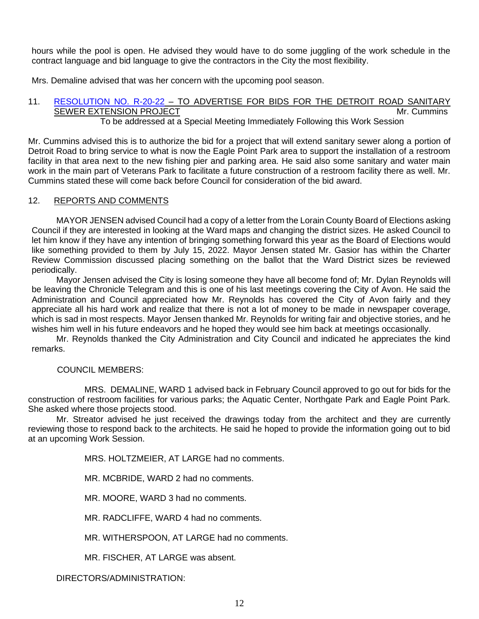hours while the pool is open. He advised they would have to do some juggling of the work schedule in the contract language and bid language to give the contractors in the City the most flexibility.

Mrs. Demaline advised that was her concern with the upcoming pool season.

## 11. [RESOLUTION NO. R-20-22](https://www.cityofavon.com/DocumentCenter/View/7789/Resolution-No-R-20-22-Jaycox-Middleton-Inter-Ped-Imp-Bid-002) – TO ADVERTISE FOR BIDS FOR THE DETROIT ROAD SANITARY SEWER EXTENSION PROJECT **SEWER EXTENSION** PROJECT

To be addressed at a Special Meeting Immediately Following this Work Session

Mr. Cummins advised this is to authorize the bid for a project that will extend sanitary sewer along a portion of Detroit Road to bring service to what is now the Eagle Point Park area to support the installation of a restroom facility in that area next to the new fishing pier and parking area. He said also some sanitary and water main work in the main part of Veterans Park to facilitate a future construction of a restroom facility there as well. Mr. Cummins stated these will come back before Council for consideration of the bid award.

#### 12. REPORTS AND COMMENTS

MAYOR JENSEN advised Council had a copy of a letter from the Lorain County Board of Elections asking Council if they are interested in looking at the Ward maps and changing the district sizes. He asked Council to let him know if they have any intention of bringing something forward this year as the Board of Elections would like something provided to them by July 15, 2022. Mayor Jensen stated Mr. Gasior has within the Charter Review Commission discussed placing something on the ballot that the Ward District sizes be reviewed periodically.

Mayor Jensen advised the City is losing someone they have all become fond of; Mr. Dylan Reynolds will be leaving the Chronicle Telegram and this is one of his last meetings covering the City of Avon. He said the Administration and Council appreciated how Mr. Reynolds has covered the City of Avon fairly and they appreciate all his hard work and realize that there is not a lot of money to be made in newspaper coverage, which is sad in most respects. Mayor Jensen thanked Mr. Reynolds for writing fair and objective stories, and he wishes him well in his future endeavors and he hoped they would see him back at meetings occasionally.

Mr. Reynolds thanked the City Administration and City Council and indicated he appreciates the kind remarks.

### COUNCIL MEMBERS:

MRS. DEMALINE, WARD 1 advised back in February Council approved to go out for bids for the construction of restroom facilities for various parks; the Aquatic Center, Northgate Park and Eagle Point Park. She asked where those projects stood.

Mr. Streator advised he just received the drawings today from the architect and they are currently reviewing those to respond back to the architects. He said he hoped to provide the information going out to bid at an upcoming Work Session.

MRS. HOLTZMEIER, AT LARGE had no comments.

MR. MCBRIDE, WARD 2 had no comments.

MR. MOORE, WARD 3 had no comments.

MR. RADCLIFFE, WARD 4 had no comments.

MR. WITHERSPOON, AT LARGE had no comments.

MR. FISCHER, AT LARGE was absent.

DIRECTORS/ADMINISTRATION: